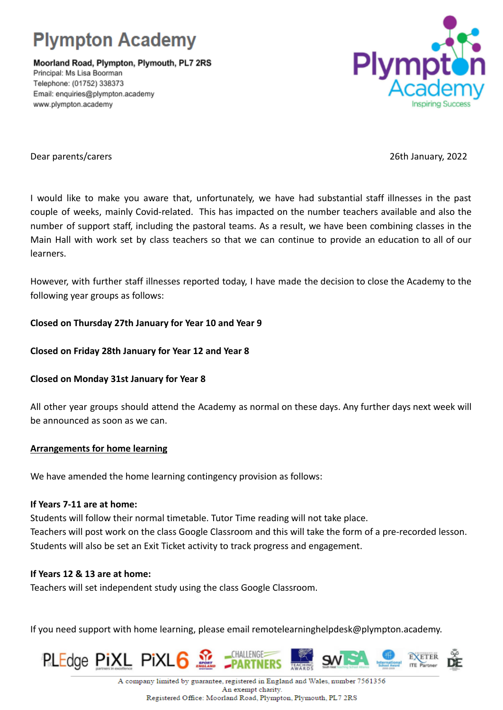

Moorland Road, Plympton, Plymouth, PL7 2RS Principal: Ms Lisa Boorman Telephone: (01752) 338373 Email: enquiries@plympton.academy www.plympton.academy



Dear parents/carers 26th January, 2022

I would like to make you aware that, unfortunately, we have had substantial staff illnesses in the past couple of weeks, mainly Covid-related. This has impacted on the number teachers available and also the number of support staff, including the pastoral teams. As a result, we have been combining classes in the Main Hall with work set by class teachers so that we can continue to provide an education to all of our learners.

However, with further staff illnesses reported today, I have made the decision to close the Academy to the following year groups as follows:

## **Closed on Thursday 27th January for Year 10 and Year 9**

### **Closed on Friday 28th January for Year 12 and Year 8**

#### **Closed on Monday 31st January for Year 8**

All other year groups should attend the Academy as normal on these days. Any further days next week will be announced as soon as we can.

#### **Arrangements for home learning**

We have amended the home learning contingency provision as follows:

#### **If Years 7-11 are at home:**

Students will follow their normal timetable. Tutor Time reading will not take place. Teachers will post work on the class Google Classroom and this will take the form of a pre-recorded lesson. Students will also be set an Exit Ticket activity to track progress and engagement.

# **If Years 12 & 13 are at home:**

Teachers will set independent study using the class Google Classroom.

If you need support with home learning, please email remotelearninghelpdesk@plympton.academy.